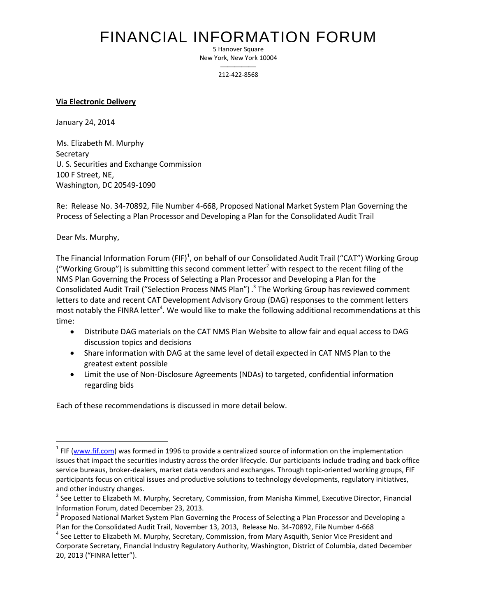# FINANCIAL INFORMATION FORUM

5 Hanover Square New York, New York 10004

> $\overline{\phantom{a}}$ 212-422-8568

### **Via Electronic Delivery**

January 24, 2014

Ms. Elizabeth M. Murphy Secretary U. S. Securities and Exchange Commission 100 F Street, NE, Washington, DC 20549-1090

Re: Release No. 34-70892, File Number 4-668, Proposed National Market System Plan Governing the Process of Selecting a Plan Processor and Developing a Plan for the Consolidated Audit Trail

Dear Ms. Murphy,

 $\overline{\phantom{a}}$ 

The Financial Information Forum (FIF)<sup>1</sup>, on behalf of our Consolidated Audit Trail ("CAT") Working Group ("Working Group") is submitting this second comment letter<sup>2</sup> with respect to the recent filing of the NMS Plan Governing the Process of Selecting a Plan Processor and Developing a Plan for the Consolidated Audit Trail ("Selection Process NMS Plan") .<sup>3</sup> The Working Group has reviewed comment letters to date and recent CAT Development Advisory Group (DAG) responses to the comment letters most notably the FINRA letter<sup>4</sup>. We would like to make the following additional recommendations at this time:

- Distribute DAG materials on the CAT NMS Plan Website to allow fair and equal access to DAG discussion topics and decisions
- Share information with DAG at the same level of detail expected in CAT NMS Plan to the greatest extent possible
- Limit the use of Non-Disclosure Agreements (NDAs) to targeted, confidential information regarding bids

Each of these recommendations is discussed in more detail below.

<sup>&</sup>lt;sup>1</sup> FIF (www.fif.com) was formed in 1996 to provide a centralized source of information on the implementation issues that impact the securities industry across the order lifecycle. Our participants include trading and back office service bureaus, broker-dealers, market data vendors and exchanges. Through topic-oriented working groups, FIF participants focus on critical issues and productive solutions to technology developments, regulatory initiatives, and other industry changes.

 $^{2}$  See Letter to Elizabeth M. Murphy, Secretary, Commission, from Manisha Kimmel, Executive Director, Financial Information Forum, dated December 23, 2013.

 $^3$  Proposed National Market System Plan Governing the Process of Selecting a Plan Processor and Developing a Plan for the Consolidated Audit Trail, November 13, 2013, Release No. 34-70892, File Number 4-668

<sup>&</sup>lt;sup>4</sup> See Letter to Elizabeth M. Murphy, Secretary, Commission, from Mary Asquith, Senior Vice President and Corporate Secretary, Financial Industry Regulatory Authority, Washington, District of Columbia, dated December 20, 2013 ("FINRA letter").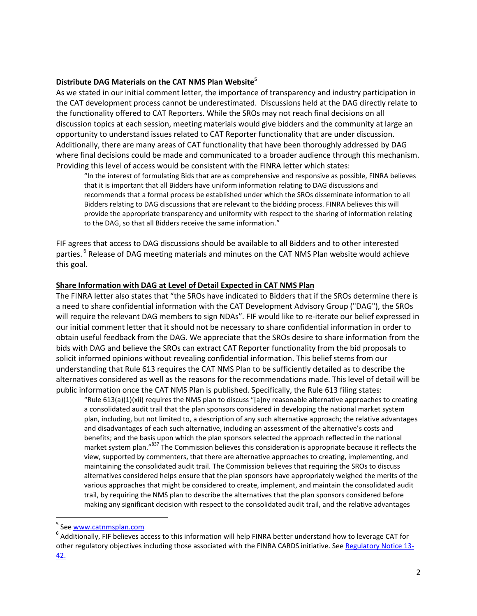## **Distribute DAG Materials on the CAT NMS Plan Website<sup>5</sup>**

As we stated in our initial comment letter, the importance of transparency and industry participation in the CAT development process cannot be underestimated. Discussions held at the DAG directly relate to the functionality offered to CAT Reporters. While the SROs may not reach final decisions on all discussion topics at each session, meeting materials would give bidders and the community at large an opportunity to understand issues related to CAT Reporter functionality that are under discussion. Additionally, there are many areas of CAT functionality that have been thoroughly addressed by DAG where final decisions could be made and communicated to a broader audience through this mechanism. Providing this level of access would be consistent with the FINRA letter which states:

"In the interest of formulating Bids that are as comprehensive and responsive as possible, FINRA believes that it is important that all Bidders have uniform information relating to DAG discussions and recommends that a formal process be established under which the SROs disseminate information to all Bidders relating to DAG discussions that are relevant to the bidding process. FINRA believes this will provide the appropriate transparency and uniformity with respect to the sharing of information relating to the DAG, so that all Bidders receive the same information."

FIF agrees that access to DAG discussions should be available to all Bidders and to other interested parties. <sup>6</sup> Release of DAG meeting materials and minutes on the CAT NMS Plan website would achieve this goal.

### **Share Information with DAG at Level of Detail Expected in CAT NMS Plan**

The FINRA letter also states that "the SROs have indicated to Bidders that if the SROs determine there is a need to share confidential information with the CAT Development Advisory Group ("DAG"), the SROs will require the relevant DAG members to sign NDAs". FIF would like to re-iterate our belief expressed in our initial comment letter that it should not be necessary to share confidential information in order to obtain useful feedback from the DAG. We appreciate that the SROs desire to share information from the bids with DAG and believe the SROs can extract CAT Reporter functionality from the bid proposals to solicit informed opinions without revealing confidential information. This belief stems from our understanding that Rule 613 requires the CAT NMS Plan to be sufficiently detailed as to describe the alternatives considered as well as the reasons for the recommendations made. This level of detail will be public information once the CAT NMS Plan is published. Specifically, the Rule 613 filing states:

"Rule 613(a)(1)(xii) requires the NMS plan to discuss "[a]ny reasonable alternative approaches to creating a consolidated audit trail that the plan sponsors considered in developing the national market system plan, including, but not limited to, a description of any such alternative approach; the relative advantages and disadvantages of each such alternative, including an assessment of the alternative's costs and benefits; and the basis upon which the plan sponsors selected the approach reflected in the national market system plan."<sup>837</sup> The Commission believes this consideration is appropriate because it reflects the view, supported by commenters, that there are alternative approaches to creating, implementing, and maintaining the consolidated audit trail. The Commission believes that requiring the SROs to discuss alternatives considered helps ensure that the plan sponsors have appropriately weighed the merits of the various approaches that might be considered to create, implement, and maintain the consolidated audit trail, by requiring the NMS plan to describe the alternatives that the plan sponsors considered before making any significant decision with respect to the consolidated audit trail, and the relative advantages

 $\overline{a}$ 

<sup>&</sup>lt;sup>5</sup> See <u>www.catnmsplan.com</u>

 $^6$  Additionally, FIF believes access to this information will help FINRA better understand how to leverage CAT for other regulatory objectives including those associated with the FINRA CARDS initiative. Se[e Regulatory Notice 13-](http://www.finra.org/Industry/Regulation/Notices/2013/P413652) [42.](http://www.finra.org/Industry/Regulation/Notices/2013/P413652)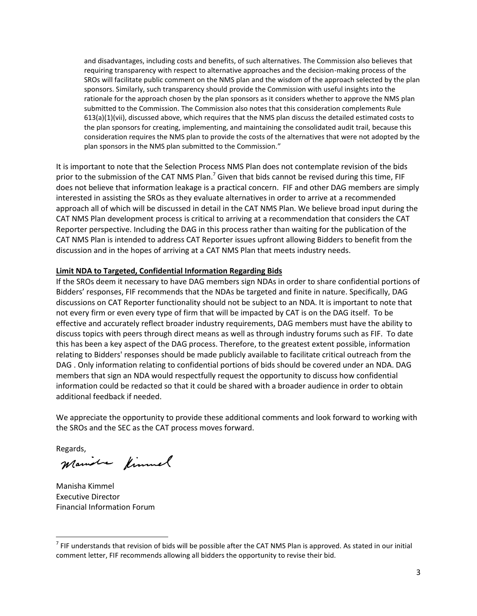and disadvantages, including costs and benefits, of such alternatives. The Commission also believes that requiring transparency with respect to alternative approaches and the decision-making process of the SROs will facilitate public comment on the NMS plan and the wisdom of the approach selected by the plan sponsors. Similarly, such transparency should provide the Commission with useful insights into the rationale for the approach chosen by the plan sponsors as it considers whether to approve the NMS plan submitted to the Commission. The Commission also notes that this consideration complements Rule 613(a)(1)(vii), discussed above, which requires that the NMS plan discuss the detailed estimated costs to the plan sponsors for creating, implementing, and maintaining the consolidated audit trail, because this consideration requires the NMS plan to provide the costs of the alternatives that were not adopted by the plan sponsors in the NMS plan submitted to the Commission."

It is important to note that the Selection Process NMS Plan does not contemplate revision of the bids prior to the submission of the CAT NMS Plan.<sup>7</sup> Given that bids cannot be revised during this time, FIF does not believe that information leakage is a practical concern. FIF and other DAG members are simply interested in assisting the SROs as they evaluate alternatives in order to arrive at a recommended approach all of which will be discussed in detail in the CAT NMS Plan. We believe broad input during the CAT NMS Plan development process is critical to arriving at a recommendation that considers the CAT Reporter perspective. Including the DAG in this process rather than waiting for the publication of the CAT NMS Plan is intended to address CAT Reporter issues upfront allowing Bidders to benefit from the discussion and in the hopes of arriving at a CAT NMS Plan that meets industry needs.

## **Limit NDA to Targeted, Confidential Information Regarding Bids**

If the SROs deem it necessary to have DAG members sign NDAs in order to share confidential portions of Bidders' responses, FIF recommends that the NDAs be targeted and finite in nature. Specifically, DAG discussions on CAT Reporter functionality should not be subject to an NDA. It is important to note that not every firm or even every type of firm that will be impacted by CAT is on the DAG itself. To be effective and accurately reflect broader industry requirements, DAG members must have the ability to discuss topics with peers through direct means as well as through industry forums such as FIF. To date this has been a key aspect of the DAG process. Therefore, to the greatest extent possible, information relating to Bidders' responses should be made publicly available to facilitate critical outreach from the DAG . Only information relating to confidential portions of bids should be covered under an NDA. DAG members that sign an NDA would respectfully request the opportunity to discuss how confidential information could be redacted so that it could be shared with a broader audience in order to obtain additional feedback if needed.

We appreciate the opportunity to provide these additional comments and look forward to working with the SROs and the SEC as the CAT process moves forward.

l

Regards,<br>Maniole fimmel

Manisha Kimmel Executive Director Financial Information Forum

 $^7$  FIF understands that revision of bids will be possible after the CAT NMS Plan is approved. As stated in our initial comment letter, FIF recommends allowing all bidders the opportunity to revise their bid.